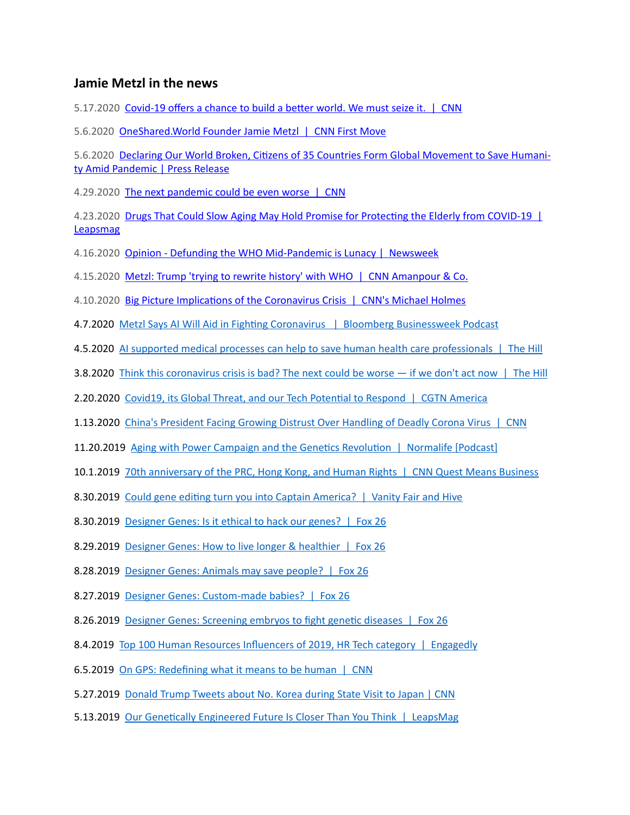## **Jamie Metzl in the news**

5.17.2020 Covid-19 offers a chance to build a better world. We must seize it. | CNN

5.6.2020 OneShared.World Founder Jamie Metzl | CNN First Move

5.6.2020 Declaring Our World Broken, Citizens of 35 Countries Form Global Movement to Save Humanity Amid Pandemic | Press Release

4.29.2020 The next pandemic could be even worse | CNN

4.23.2020 Drugs That Could Slow Aging May Hold Promise for Protecting the Elderly from COVID-19 | [Leapsmag](https://leapsmag.com/drugs-that-could-slow-aging-may-hold-promise-for-protecting-the-elderly-from-covid-19/)

4.16.2020 Opinion - Defunding the WHO Mid-Pandemic is Lunacy | Newsweek

4.15.2020 Metzl: Trump 'trying to rewrite history' with WHO | CNN Amanpour & Co.

4.10.2020 Big Picture Implications of the Coronavirus Crisis | CNN's Michael Holmes

4.7.2020 Metzl Says AI Will Aid in Fighting Coronavirus | Bloomberg Businessweek Podcast

4.5.2020 AI supported medical processes can help to save human health care professionals | The Hill

3.8.2020 Think this coronavirus crisis is bad? The next could be worse — if we don't act now | The Hill

**2.20.2020** Covid19, its Global Threat, and our Tech Potential to Respond | CGTN America

1.13.2020 China's President Facing Growing Distrust Over Handling of Deadly Corona Virus | CNN

11.20.2019 Aging with Power Campaign and the Genetics Revolution | Normalife [Podcast]

**10.1.2019** 70th anniversary of the PRC, Hong Kong, and Human Rights | CNN Quest Means Business

8.30.2019 Could gene editing turn you into Captain America? | Vanity Fair and Hive

8.30.2019 Designer Genes: Is it ethical to hack our genes? | Fox 26

8.29.2019 Designer Genes: How to live longer & healthier | Fox 26

8.28.2019 Designer Genes: Animals may save people? | Fox 26

8.27.2019 Designer Genes: Custom-made babies? | Fox 26

8.26.2019 Designer Genes: Screening embryos to fight genetic diseases | Fox 26

8.4.2019 Top 100 Human Resources Influencers of 2019, HR Tech category | Engagedly

6.5.2019 On GPS: Redefining what it means to be human | CNN

5.27.2019 Donald Trump Tweets about No. Korea during State Visit to Japan | CNN

5.13.2019 Our Genetically Engineered Future Is Closer Than You Think | LeapsMag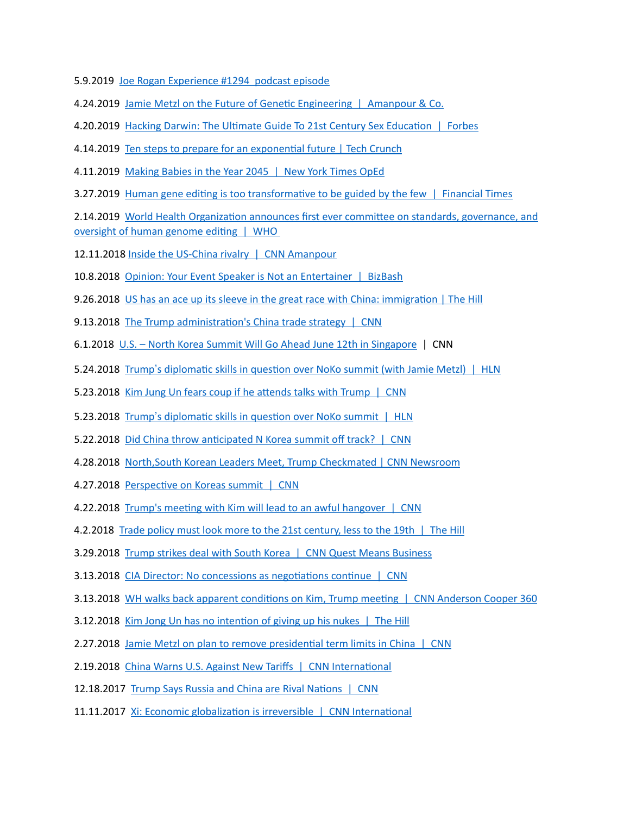- 5.9.2019 Joe Rogan Experience #1294 podcast episode
- 4.24.2019 Jamie Metzl on the Future of Genetic Engineering | Amanpour & Co.
- 4.20.2019 Hacking Darwin: The Ultimate Guide To 21st Century Sex Education | Forbes
- 4.14.2019 Ten steps to prepare for an exponential future | Tech Crunch
- 4.11.2019 Making Babies in the Year 2045 | New York Times OpEd
- 3.27.2019 Human gene editing is too transformative to be guided by the few  $\parallel$  Financial Times

**2.14.2019** World Health Organization announces first ever committee on standards, governance, and oversight of human genome editing  $\parallel$  WHO

- 12.11.2018 Inside the US-China rivalry | CNN Amanpour
- 10.8.2018 Opinion: Your Event Speaker is Not an Entertainer | BizBash
- 9.26.2018 US has an ace up its sleeve in the great race with China: immigration | The Hill
- 9.13.2018 The Trump administration's China trade strategy | CNN
- 6.1.2018 U.S. North Korea Summit Will Go Ahead June 12th in Singapore | CNN
- 5.24.2018 Trump's diplomatic skills in question over NoKo summit (with Jamie Metzl) | HLN
- 5.23.2018 Kim Jung Un fears coup if he attends talks with Trump | CNN
- 5.23.2018 Trump's diplomatic skills in question over NoKo summit | HLN
- 5.22.2018 Did China throw anticipated N Korea summit off track? | CNN
- 4.28.2018 North, South Korean Leaders Meet, Trump Checkmated | CNN Newsroom
- 4.27.2018 Perspective on Koreas summit | CNN
- 4.22.2018 Trump's meeting with Kim will lead to an awful hangover | CNN
- 4.2.2018 Trade policy must look more to the 21st century, less to the 19th | The Hill
- **3.29.2018** Trump strikes deal with South Korea | CNN Quest Means Business
- 3.13.2018 CIA Director: No concessions as negotiations continue | CNN
- 3.13.2018 WH walks back apparent conditions on Kim, Trump meeting | CNN Anderson Cooper 360
- 3.12.2018 Kim Jong Un has no intention of giving up his nukes | The Hill
- 2.27.2018 Jamie Metzl on plan to remove presidential term limits in China | CNN
- 2.19.2018 China Warns U.S. Against New Tariffs | CNN International
- 12.18.2017 Trump Says Russia and China are Rival Nations | CNN
- 11.11.2017 Xi: Economic globalization is irreversible | CNN International